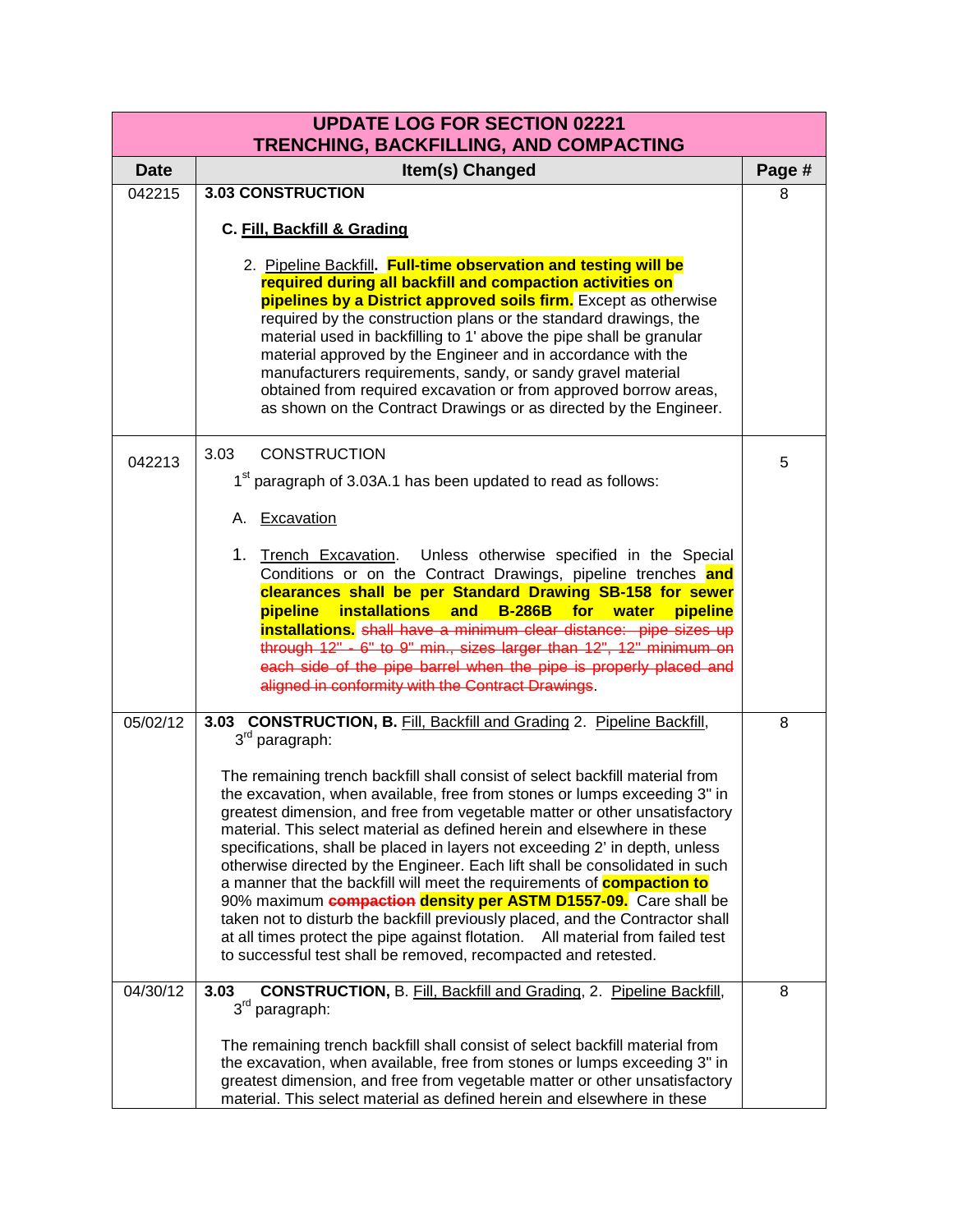| <b>UPDATE LOG FOR SECTION 02221</b><br>TRENCHING, BACKFILLING, AND COMPACTING |                                                                                                                                                                                                                                                                                                                                                                                                                                                                                                                                                                                                                                                                                                                                                                                                                                                                                  |        |
|-------------------------------------------------------------------------------|----------------------------------------------------------------------------------------------------------------------------------------------------------------------------------------------------------------------------------------------------------------------------------------------------------------------------------------------------------------------------------------------------------------------------------------------------------------------------------------------------------------------------------------------------------------------------------------------------------------------------------------------------------------------------------------------------------------------------------------------------------------------------------------------------------------------------------------------------------------------------------|--------|
| <b>Date</b>                                                                   | Item(s) Changed                                                                                                                                                                                                                                                                                                                                                                                                                                                                                                                                                                                                                                                                                                                                                                                                                                                                  | Page # |
| 042215                                                                        | <b>3.03 CONSTRUCTION</b>                                                                                                                                                                                                                                                                                                                                                                                                                                                                                                                                                                                                                                                                                                                                                                                                                                                         | 8      |
|                                                                               | C. Fill, Backfill & Grading                                                                                                                                                                                                                                                                                                                                                                                                                                                                                                                                                                                                                                                                                                                                                                                                                                                      |        |
|                                                                               | 2. Pipeline Backfill. Full-time observation and testing will be<br>required during all backfill and compaction activities on<br>pipelines by a District approved soils firm. Except as otherwise<br>required by the construction plans or the standard drawings, the<br>material used in backfilling to 1' above the pipe shall be granular<br>material approved by the Engineer and in accordance with the<br>manufacturers requirements, sandy, or sandy gravel material<br>obtained from required excavation or from approved borrow areas,<br>as shown on the Contract Drawings or as directed by the Engineer.                                                                                                                                                                                                                                                              |        |
| 042213                                                                        | 3.03<br><b>CONSTRUCTION</b>                                                                                                                                                                                                                                                                                                                                                                                                                                                                                                                                                                                                                                                                                                                                                                                                                                                      | 5      |
|                                                                               | 1 <sup>st</sup> paragraph of 3.03A.1 has been updated to read as follows:                                                                                                                                                                                                                                                                                                                                                                                                                                                                                                                                                                                                                                                                                                                                                                                                        |        |
|                                                                               | A. Excavation                                                                                                                                                                                                                                                                                                                                                                                                                                                                                                                                                                                                                                                                                                                                                                                                                                                                    |        |
|                                                                               | 1. Trench Excavation. Unless otherwise specified in the Special<br>Conditions or on the Contract Drawings, pipeline trenches and<br>clearances shall be per Standard Drawing SB-158 for sewer<br>pipeline<br>installations and<br><b>B-286B</b><br>for <b>for</b><br>water<br>pipeline<br>installations. shall have a minimum clear distance: pipe sizes up<br>through 12" - 6" to 9" min., sizes larger than 12", 12" minimum on<br>each side of the pipe barrel when the pipe is properly placed and<br>aligned in conformity with the Contract Drawings.                                                                                                                                                                                                                                                                                                                      |        |
| 05/02/12                                                                      | 3.03 CONSTRUCTION, B. Fill, Backfill and Grading 2. Pipeline Backfill,<br>3 <sup>rd</sup> paragraph:                                                                                                                                                                                                                                                                                                                                                                                                                                                                                                                                                                                                                                                                                                                                                                             | 8      |
|                                                                               | The remaining trench backfill shall consist of select backfill material from<br>the excavation, when available, free from stones or lumps exceeding 3" in<br>greatest dimension, and free from vegetable matter or other unsatisfactory<br>material. This select material as defined herein and elsewhere in these<br>specifications, shall be placed in layers not exceeding 2' in depth, unless<br>otherwise directed by the Engineer. Each lift shall be consolidated in such<br>a manner that the backfill will meet the requirements of <b>compaction to</b><br>90% maximum <b>compaction density per ASTM D1557-09.</b> Care shall be<br>taken not to disturb the backfill previously placed, and the Contractor shall<br>at all times protect the pipe against flotation. All material from failed test<br>to successful test shall be removed, recompacted and retested. |        |
| 04/30/12                                                                      | <b>CONSTRUCTION, B. Fill, Backfill and Grading, 2. Pipeline Backfill,</b><br>3.03<br>3rd paragraph:                                                                                                                                                                                                                                                                                                                                                                                                                                                                                                                                                                                                                                                                                                                                                                              | 8      |
|                                                                               | The remaining trench backfill shall consist of select backfill material from<br>the excavation, when available, free from stones or lumps exceeding 3" in<br>greatest dimension, and free from vegetable matter or other unsatisfactory<br>material. This select material as defined herein and elsewhere in these                                                                                                                                                                                                                                                                                                                                                                                                                                                                                                                                                               |        |